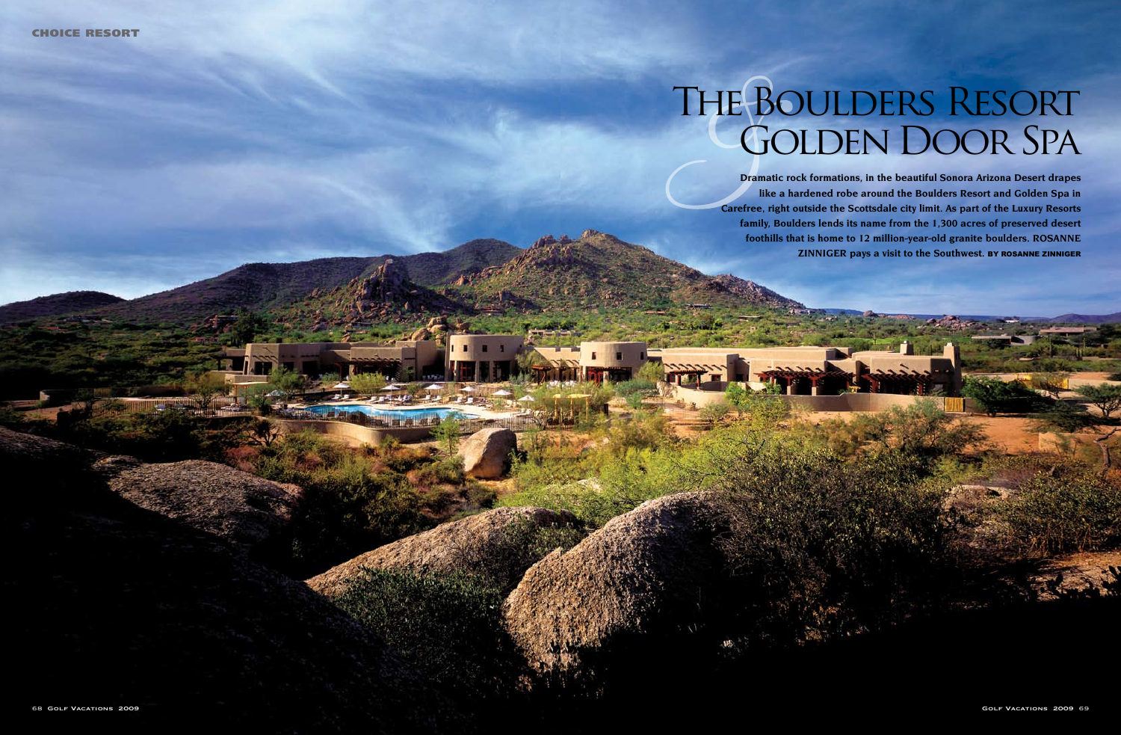

**Dramatic rock formations, in the beautiful Sonora Arizona Desert drapes like a hardened robe around the Boulders Resort and Golden Spa in Carefree, right outside the Scottsdale city limit. As part of the Luxury Resorts family, Boulders lends its name from the 1,300 acres of preserved desert foothills that is home to 12 million-year-old granite boulders. Rosanne ZINNIGER pays a visit to the Southwest. BY ROSANNE ZINNIGER** 

# The Boulders Resort Golden Door Spa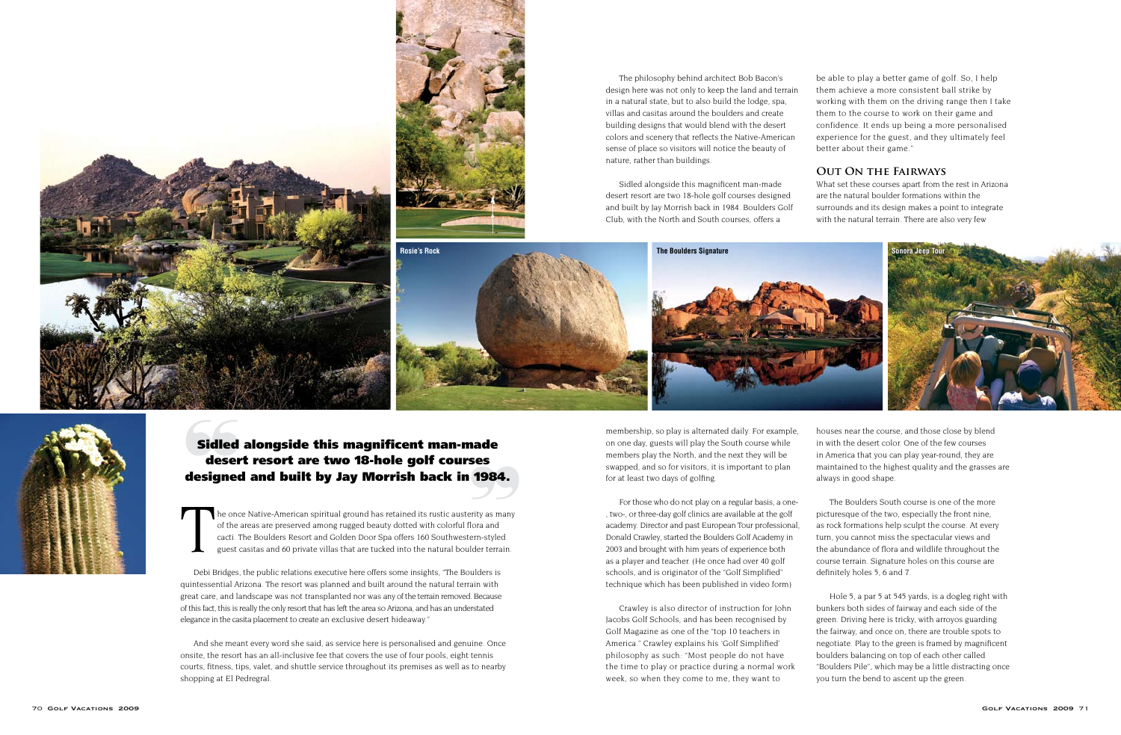he once Native-American spiritual ground has retained its rustic austerity as many of the areas are preserved among rugged beauty dotted with colorful flora and cacti. The Boulders Resort and Golden Door Spa offers 160 Southwestern-styled guest casitas and 60 private villas that are tucked into the natural boulder terrain.

Debi Bridges, the public relations executive here offers some insights, "The Boulders is quintessential Arizona. The resort was planned and built around the natural terrain with great care, and landscape was not transplanted nor was any of the terrain removed. Because of this fact, this is really the only resort that has left the area so Arizona, and has an understated elegance in the casita placement to create an exclusive desert hideaway."

And she meant every word she said, as service here is personalised and genuine. Once onsite, the resort has an all-inclusive fee that covers the use of four pools, eight tennis courts, fitness, tips, valet, and shuttle service throughout its premises as well as to nearby shopping at El Pedregral.





The philosophy behind architect Bob Bacon's design here was not only to keep the land and terrain in a natural state, but to also build the lodge, spa, villas and casitas around the boulders and create building designs that would blend with the desert colors and scenery that reflects the Native-American sense of place so visitors will notice the beauty of nature, rather than buildings.

Sidled alongside this magnificent man-made desert resort are two 18-hole golf courses designed and built by Jay Morrish back in 1984. Boulders Golf Club, with the North and South courses, offers a



be able to play a better game of golf. So, I help them achieve a more consistent ball strike by working with them on the driving range then I take them to the course to work on their game and confidence. It ends up being a more personalised experience for the guest, and they ultimately feel better about their game."

## **Out On the Fairways**

What set these courses apart from the rest in Arizona are the natural boulder formations within the surrounds and its design makes a point to integrate with the natural terrain. There are also very few



## Sidled alongside this magnificent man-made desert resort are two 18-hole golf courses designed and built by Jay Morrish back in 1984.

membership, so play is alternated daily. For example, on one day, guests will play the South course while members play the North, and the next they will be swapped, and so for visitors, it is important to plan for at least two days of golfing.

For those who do not play on a regular basis, a one- , two-, or three-day golf clinics are available at the golf academy. Director and past European Tour professional, Donald Crawley, started the Boulders Golf Academy in 2003 and brought with him years of experience both as a player and teacher. (He once had over 40 golf schools, and is originator of the "Golf Simplified" technique which has been published in video form)

Crawley is also director of instruction for John Jacobs Golf Schools, and has been recognised by Golf Magazine as one of the "top 10 teachers in America." Crawley explains his 'Golf Simplified' philosophy as such: "Most people do not have the time to play or practice during a normal work week, so when they come to me, they want to

houses near the course, and those close by blend in with the desert color. One of the few courses in America that you can play year-round, they are maintained to the highest quality and the grasses are always in good shape.

The Boulders South course is one of the more picturesque of the two, especially the front nine, as rock formations help sculpt the course. At every turn, you cannot miss the spectacular views and the abundance of flora and wildlife throughout the course terrain. Signature holes on this course are definitely holes 5, 6 and 7.

Hole 5, a par 5 at 545 yards, is a dogleg right with bunkers both sides of fairway and each side of the green. Driving here is tricky, with arroyos guarding the fairway, and once on, there are trouble spots to negotiate. Play to the green is framed by magnificent boulders balancing on top of each other called "Boulders Pile", which may be a little distracting once you turn the bend to ascent up the green.